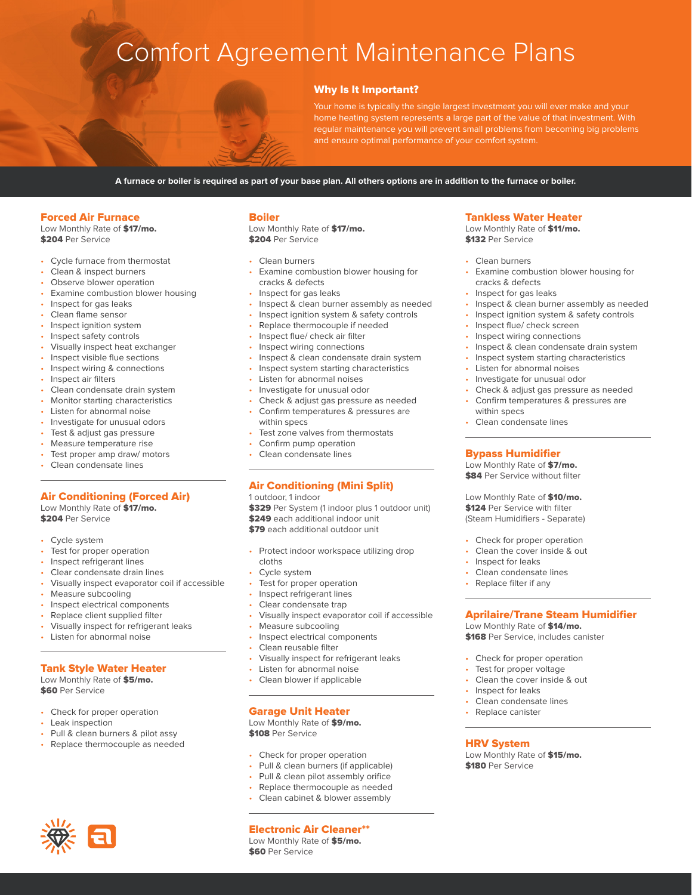# Comfort Agreement Maintenance Plans

### Why Is It Important?

Your home is typically the single largest investment you will ever make and your home heating system represents a large part of the value of that investment. With regular maintenance you will prevent small problems from becoming big problems and ensure optimal performance of your comfort system.

**A furnace or boiler is required as part of your base plan. All others options are in addition to the furnace or boiler.**

#### Forced Air Furnace

Low Monthly Rate of \$17/mo. \$204 Per Service

- Cycle furnace from thermostat
- Clean & inspect burners
- Observe blower operation
- Examine combustion blower housing
- Inspect for gas leaks
- Clean flame sensor
- Inspect ignition system
- Inspect safety controls
- Visually inspect heat exchanger
- Inspect visible flue sections
- Inspect wiring & connections
- Inspect air filters
- Clean condensate drain system
- Monitor starting characteristics
- Listen for abnormal noise
- Investigate for unusual odors
- Test & adjust gas pressure
- Measure temperature rise
- Test proper amp draw/ motors
- Clean condensate lines

#### Air Conditioning (Forced Air)

Low Monthly Rate of \$17/mo. \$204 Per Service

- Cycle system
- Test for proper operation
- Inspect refrigerant lines
- Clear condensate drain lines
- Visually inspect evaporator coil if accessible
- Measure subcooling
- Inspect electrical components
- Replace client supplied filter
- Visually inspect for refrigerant leaks
- Listen for abnormal noise
- 

### Tank Style Water Heater

Low Monthly Rate of \$5/mo. **\$60 Per Service** 

- Check for proper operation
- Leak inspection
- Pull & clean burners & pilot assy
- Replace thermocouple as needed

#### Boiler

Low Monthly Rate of \$17/mo. \$204 Per Service

- Clean burners
- Examine combustion blower housing for cracks & defects
- Inspect for gas leaks
- Inspect & clean burner assembly as needed
- Inspect ignition system & safety controls
- Replace thermocouple if needed
- Inspect flue/ check air filter
- Inspect wiring connections
- Inspect & clean condensate drain system
- Inspect system starting characteristics
- Listen for abnormal noises
- Investigate for unusual odor
- Check & adjust gas pressure as needed
- Confirm temperatures & pressures are within specs
- Test zone valves from thermostats
- Confirm pump operation
- Clean condensate lines

#### Air Conditioning (Mini Split)

1 outdoor, 1 indoor

\$329 Per System (1 indoor plus 1 outdoor unit) \$249 each additional indoor unit \$79 each additional outdoor unit

- Protect indoor workspace utilizing drop cloths
- Cycle system
- Test for proper operation
- Inspect refrigerant lines
- Clear condensate trap
- Visually inspect evaporator coil if accessible
- Measure subcooling
- Inspect electrical components
- Clean reusable filter
- Visually inspect for refrigerant leaks
- Listen for abnormal noise
- Clean blower if applicable

#### Garage Unit Heater

Low Monthly Rate of \$9/mo. \$108 Per Service

- Check for proper operation
- Pull & clean burners (if applicable)
- Pull & clean pilot assembly orifice
- Replace thermocouple as needed
- Clean cabinet & blower assembly

#### Electronic Air Cleaner\*\*

Low Monthly Rate of \$5/mo. **\$60 Per Service** 

#### Tankless Water Heater

Low Monthly Rate of \$11/mo. **\$132 Per Service** 

Clean burners

within specs • Clean condensate lines

Bypass Humidifier Low Monthly Rate of \$7/mo. **\$84 Per Service without filter** Low Monthly Rate of \$10/mo. \$124 Per Service with filter (Steam Humidifiers - Separate) • Check for proper operation • Clean the cover inside & out Inspect for leaks Clean condensate lines Replace filter if any

- Examine combustion blower housing for cracks & defects
- Inspect for gas leaks
- Inspect & clean burner assembly as needed
- Inspect ignition system & safety controls
- Inspect flue/ check screen
- Inspect wiring connections

Listen for abnormal noises • Investigate for unusual odor

• Inspect & clean condensate drain system

• Check & adjust gas pressure as needed • Confirm temperatures & pressures are

Aprilaire/Trane Steam Humidifier

Low Monthly Rate of \$14/mo. \$168 Per Service, includes canister

• Check for proper operation Test for proper voltage • Clean the cover inside & out

Low Monthly Rate of \$15/mo.

• Inspect for leaks Clean condensate lines Replace canister

HRV System

\$180 Per Service

• Inspect system starting characteristics